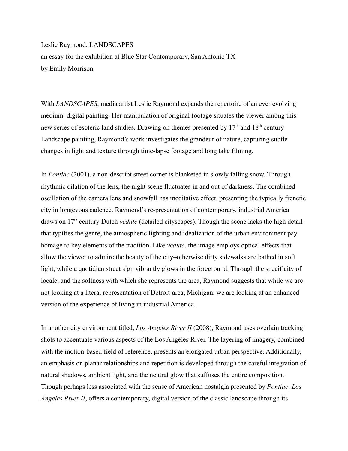Leslie Raymond: LANDSCAPES an essay for the exhibition at Blue Star Contemporary, San Antonio TX by Emily Morrison

With *LANDSCAPES*, media artist Leslie Raymond expands the repertoire of an ever evolving medium–digital painting. Her manipulation of original footage situates the viewer among this new series of esoteric land studies. Drawing on themes presented by 17<sup>th</sup> and 18<sup>th</sup> century Landscape painting, Raymond's work investigates the grandeur of nature, capturing subtle changes in light and texture through time-lapse footage and long take filming.

In *Pontiac* (2001), a non-descript street corner is blanketed in slowly falling snow. Through rhythmic dilation of the lens, the night scene fluctuates in and out of darkness. The combined oscillation of the camera lens and snowfall has meditative effect, presenting the typically frenetic city in longevous cadence. Raymond's re-presentation of contemporary, industrial America draws on 17th century Dutch *vedute* (detailed cityscapes). Though the scene lacks the high detail that typifies the genre, the atmospheric lighting and idealization of the urban environment pay homage to key elements of the tradition. Like *vedute*, the image employs optical effects that allow the viewer to admire the beauty of the city–otherwise dirty sidewalks are bathed in soft light, while a quotidian street sign vibrantly glows in the foreground. Through the specificity of locale, and the softness with which she represents the area, Raymond suggests that while we are not looking at a literal representation of Detroit-area, Michigan, we are looking at an enhanced version of the experience of living in industrial America.

In another city environment titled, *Los Angeles River II* (2008), Raymond uses overlain tracking shots to accentuate various aspects of the Los Angeles River. The layering of imagery, combined with the motion-based field of reference, presents an elongated urban perspective. Additionally, an emphasis on planar relationships and repetition is developed through the careful integration of natural shadows, ambient light, and the neutral glow that suffuses the entire composition. Though perhaps less associated with the sense of American nostalgia presented by *Pontiac*, *Los Angeles River II*, offers a contemporary, digital version of the classic landscape through its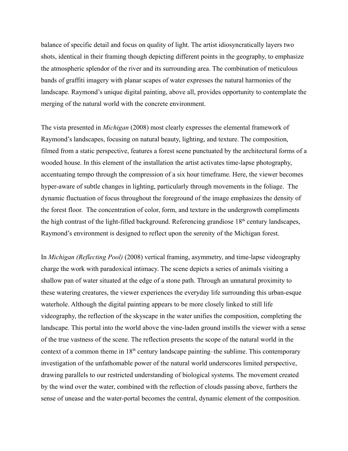balance of specific detail and focus on quality of light. The artist idiosyncratically layers two shots, identical in their framing though depicting different points in the geography, to emphasize the atmospheric splendor of the river and its surrounding area. The combination of meticulous bands of graffiti imagery with planar scapes of water expresses the natural harmonies of the landscape. Raymond's unique digital painting, above all, provides opportunity to contemplate the merging of the natural world with the concrete environment.

The vista presented in *Michigan* (2008) most clearly expresses the elemental framework of Raymond's landscapes, focusing on natural beauty, lighting, and texture. The composition, filmed from a static perspective, features a forest scene punctuated by the architectural forms of a wooded house. In this element of the installation the artist activates time-lapse photography, accentuating tempo through the compression of a six hour timeframe. Here, the viewer becomes hyper-aware of subtle changes in lighting, particularly through movements in the foliage. The dynamic fluctuation of focus throughout the foreground of the image emphasizes the density of the forest floor. The concentration of color, form, and texture in the undergrowth compliments the high contrast of the light-filled background. Referencing grandiose  $18<sup>th</sup>$  century landscapes, Raymond's environment is designed to reflect upon the serenity of the Michigan forest.

In *Michigan (Reflecting Pool)* (2008) vertical framing, asymmetry, and time-lapse videography charge the work with paradoxical intimacy. The scene depicts a series of animals visiting a shallow pan of water situated at the edge of a stone path. Through an unnatural proximity to these watering creatures, the viewer experiences the everyday life surrounding this urban-esque waterhole. Although the digital painting appears to be more closely linked to still life videography, the reflection of the skyscape in the water unifies the composition, completing the landscape. This portal into the world above the vine-laden ground instills the viewer with a sense of the true vastness of the scene. The reflection presents the scope of the natural world in the context of a common theme in  $18<sup>th</sup>$  century landscape painting–the sublime. This contemporary investigation of the unfathomable power of the natural world underscores limited perspective, drawing parallels to our restricted understanding of biological systems. The movement created by the wind over the water, combined with the reflection of clouds passing above, furthers the sense of unease and the water-portal becomes the central, dynamic element of the composition.